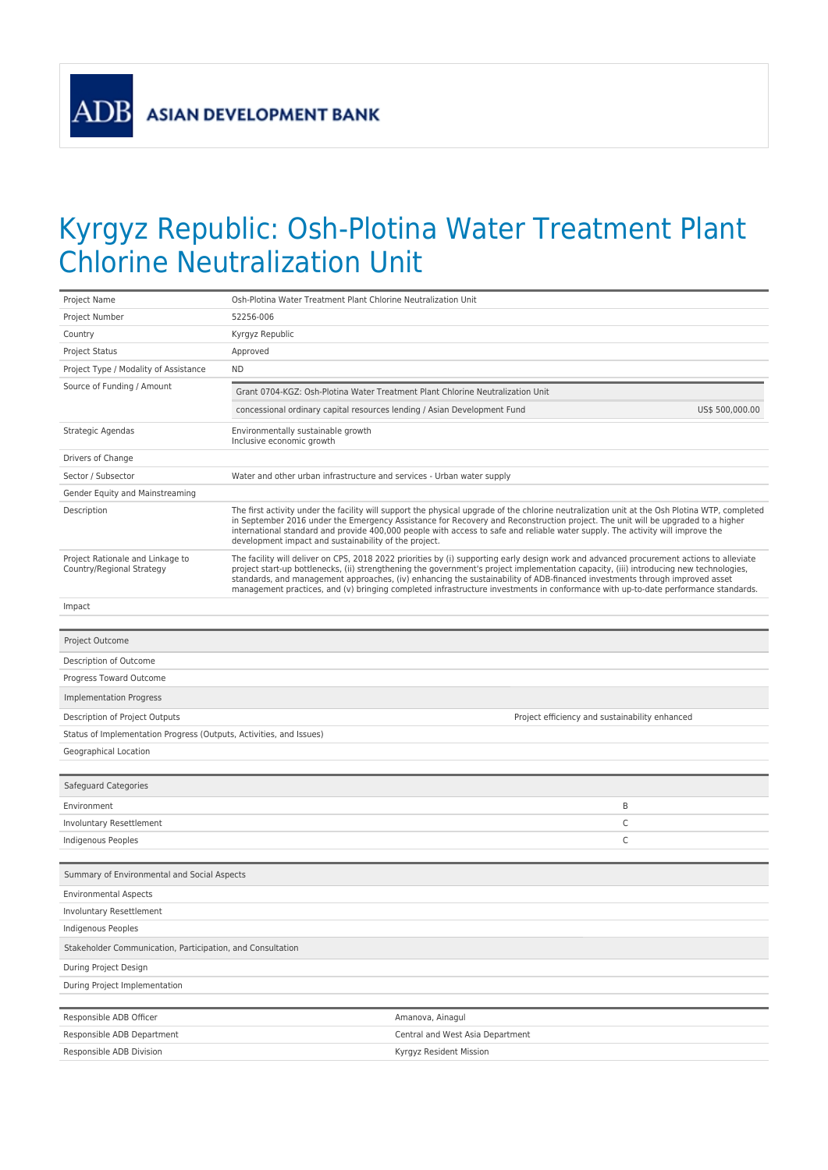**ADB** 

## Kyrgyz Republic: Osh-Plotina Water Treatment Plant Chlorine Neutralization Unit

| Project Name                                                        | Osh-Plotina Water Treatment Plant Chlorine Neutralization Unit                                                                                                                                                                                                                                                                                                                                                                                                                                                                                        |                                                                                                                                                                                                                                                                                                                                                                                                                                                                             |   |
|---------------------------------------------------------------------|-------------------------------------------------------------------------------------------------------------------------------------------------------------------------------------------------------------------------------------------------------------------------------------------------------------------------------------------------------------------------------------------------------------------------------------------------------------------------------------------------------------------------------------------------------|-----------------------------------------------------------------------------------------------------------------------------------------------------------------------------------------------------------------------------------------------------------------------------------------------------------------------------------------------------------------------------------------------------------------------------------------------------------------------------|---|
| Project Number                                                      | 52256-006                                                                                                                                                                                                                                                                                                                                                                                                                                                                                                                                             |                                                                                                                                                                                                                                                                                                                                                                                                                                                                             |   |
| Country                                                             | Kyrgyz Republic                                                                                                                                                                                                                                                                                                                                                                                                                                                                                                                                       |                                                                                                                                                                                                                                                                                                                                                                                                                                                                             |   |
| Project Status                                                      | Approved                                                                                                                                                                                                                                                                                                                                                                                                                                                                                                                                              |                                                                                                                                                                                                                                                                                                                                                                                                                                                                             |   |
| Project Type / Modality of Assistance                               | <b>ND</b>                                                                                                                                                                                                                                                                                                                                                                                                                                                                                                                                             |                                                                                                                                                                                                                                                                                                                                                                                                                                                                             |   |
| Source of Funding / Amount                                          | Grant 0704-KGZ: Osh-Plotina Water Treatment Plant Chlorine Neutralization Unit<br>concessional ordinary capital resources lending / Asian Development Fund<br>US\$ 500,000.00                                                                                                                                                                                                                                                                                                                                                                         |                                                                                                                                                                                                                                                                                                                                                                                                                                                                             |   |
|                                                                     |                                                                                                                                                                                                                                                                                                                                                                                                                                                                                                                                                       |                                                                                                                                                                                                                                                                                                                                                                                                                                                                             |   |
| Strategic Agendas                                                   | Environmentally sustainable growth<br>Inclusive economic growth                                                                                                                                                                                                                                                                                                                                                                                                                                                                                       |                                                                                                                                                                                                                                                                                                                                                                                                                                                                             |   |
| Drivers of Change                                                   |                                                                                                                                                                                                                                                                                                                                                                                                                                                                                                                                                       |                                                                                                                                                                                                                                                                                                                                                                                                                                                                             |   |
| Sector / Subsector                                                  | Water and other urban infrastructure and services - Urban water supply                                                                                                                                                                                                                                                                                                                                                                                                                                                                                |                                                                                                                                                                                                                                                                                                                                                                                                                                                                             |   |
| Gender Equity and Mainstreaming                                     |                                                                                                                                                                                                                                                                                                                                                                                                                                                                                                                                                       |                                                                                                                                                                                                                                                                                                                                                                                                                                                                             |   |
| Description                                                         |                                                                                                                                                                                                                                                                                                                                                                                                                                                                                                                                                       | The first activity under the facility will support the physical upgrade of the chlorine neutralization unit at the Osh Plotina WTP, completed<br>in September 2016 under the Emergency Assistance for Recovery and Reconstruction project. The unit will be upgraded to a higher<br>international standard and provide 400,000 people with access to safe and reliable water supply. The activity will improve the<br>development impact and sustainability of the project. |   |
| Project Rationale and Linkage to<br>Country/Regional Strategy       | The facility will deliver on CPS, 2018 2022 priorities by (i) supporting early design work and advanced procurement actions to alleviate<br>project start-up bottlenecks, (ii) strengthening the government's project implementation capacity, (iii) introducing new technologies,<br>standards, and management approaches, (iv) enhancing the sustainability of ADB-financed investments through improved asset<br>management practices, and (v) bringing completed infrastructure investments in conformance with up-to-date performance standards. |                                                                                                                                                                                                                                                                                                                                                                                                                                                                             |   |
| Impact                                                              |                                                                                                                                                                                                                                                                                                                                                                                                                                                                                                                                                       |                                                                                                                                                                                                                                                                                                                                                                                                                                                                             |   |
|                                                                     |                                                                                                                                                                                                                                                                                                                                                                                                                                                                                                                                                       |                                                                                                                                                                                                                                                                                                                                                                                                                                                                             |   |
| Project Outcome                                                     |                                                                                                                                                                                                                                                                                                                                                                                                                                                                                                                                                       |                                                                                                                                                                                                                                                                                                                                                                                                                                                                             |   |
| Description of Outcome                                              |                                                                                                                                                                                                                                                                                                                                                                                                                                                                                                                                                       |                                                                                                                                                                                                                                                                                                                                                                                                                                                                             |   |
| Progress Toward Outcome                                             |                                                                                                                                                                                                                                                                                                                                                                                                                                                                                                                                                       |                                                                                                                                                                                                                                                                                                                                                                                                                                                                             |   |
| <b>Implementation Progress</b>                                      |                                                                                                                                                                                                                                                                                                                                                                                                                                                                                                                                                       |                                                                                                                                                                                                                                                                                                                                                                                                                                                                             |   |
| Description of Project Outputs                                      |                                                                                                                                                                                                                                                                                                                                                                                                                                                                                                                                                       | Project efficiency and sustainability enhanced                                                                                                                                                                                                                                                                                                                                                                                                                              |   |
| Status of Implementation Progress (Outputs, Activities, and Issues) |                                                                                                                                                                                                                                                                                                                                                                                                                                                                                                                                                       |                                                                                                                                                                                                                                                                                                                                                                                                                                                                             |   |
| Geographical Location                                               |                                                                                                                                                                                                                                                                                                                                                                                                                                                                                                                                                       |                                                                                                                                                                                                                                                                                                                                                                                                                                                                             |   |
|                                                                     |                                                                                                                                                                                                                                                                                                                                                                                                                                                                                                                                                       |                                                                                                                                                                                                                                                                                                                                                                                                                                                                             |   |
| Safeguard Categories                                                |                                                                                                                                                                                                                                                                                                                                                                                                                                                                                                                                                       |                                                                                                                                                                                                                                                                                                                                                                                                                                                                             |   |
| Environment                                                         |                                                                                                                                                                                                                                                                                                                                                                                                                                                                                                                                                       |                                                                                                                                                                                                                                                                                                                                                                                                                                                                             | B |
| Involuntary Resettlement                                            |                                                                                                                                                                                                                                                                                                                                                                                                                                                                                                                                                       |                                                                                                                                                                                                                                                                                                                                                                                                                                                                             | C |
| Indigenous Peoples                                                  |                                                                                                                                                                                                                                                                                                                                                                                                                                                                                                                                                       |                                                                                                                                                                                                                                                                                                                                                                                                                                                                             | C |
| Summary of Environmental and Social Aspects                         |                                                                                                                                                                                                                                                                                                                                                                                                                                                                                                                                                       |                                                                                                                                                                                                                                                                                                                                                                                                                                                                             |   |
| <b>Environmental Aspects</b>                                        |                                                                                                                                                                                                                                                                                                                                                                                                                                                                                                                                                       |                                                                                                                                                                                                                                                                                                                                                                                                                                                                             |   |
| Involuntary Resettlement                                            |                                                                                                                                                                                                                                                                                                                                                                                                                                                                                                                                                       |                                                                                                                                                                                                                                                                                                                                                                                                                                                                             |   |
| Indigenous Peoples                                                  |                                                                                                                                                                                                                                                                                                                                                                                                                                                                                                                                                       |                                                                                                                                                                                                                                                                                                                                                                                                                                                                             |   |
| Stakeholder Communication, Participation, and Consultation          |                                                                                                                                                                                                                                                                                                                                                                                                                                                                                                                                                       |                                                                                                                                                                                                                                                                                                                                                                                                                                                                             |   |
| During Project Design                                               |                                                                                                                                                                                                                                                                                                                                                                                                                                                                                                                                                       |                                                                                                                                                                                                                                                                                                                                                                                                                                                                             |   |
| During Project Implementation                                       |                                                                                                                                                                                                                                                                                                                                                                                                                                                                                                                                                       |                                                                                                                                                                                                                                                                                                                                                                                                                                                                             |   |
|                                                                     |                                                                                                                                                                                                                                                                                                                                                                                                                                                                                                                                                       |                                                                                                                                                                                                                                                                                                                                                                                                                                                                             |   |
| Responsible ADB Officer                                             |                                                                                                                                                                                                                                                                                                                                                                                                                                                                                                                                                       | Amanova, Ainagul                                                                                                                                                                                                                                                                                                                                                                                                                                                            |   |
| Responsible ADB Department                                          |                                                                                                                                                                                                                                                                                                                                                                                                                                                                                                                                                       | Central and West Asia Department                                                                                                                                                                                                                                                                                                                                                                                                                                            |   |
| Responsible ADB Division                                            |                                                                                                                                                                                                                                                                                                                                                                                                                                                                                                                                                       | Kyrgyz Resident Mission                                                                                                                                                                                                                                                                                                                                                                                                                                                     |   |